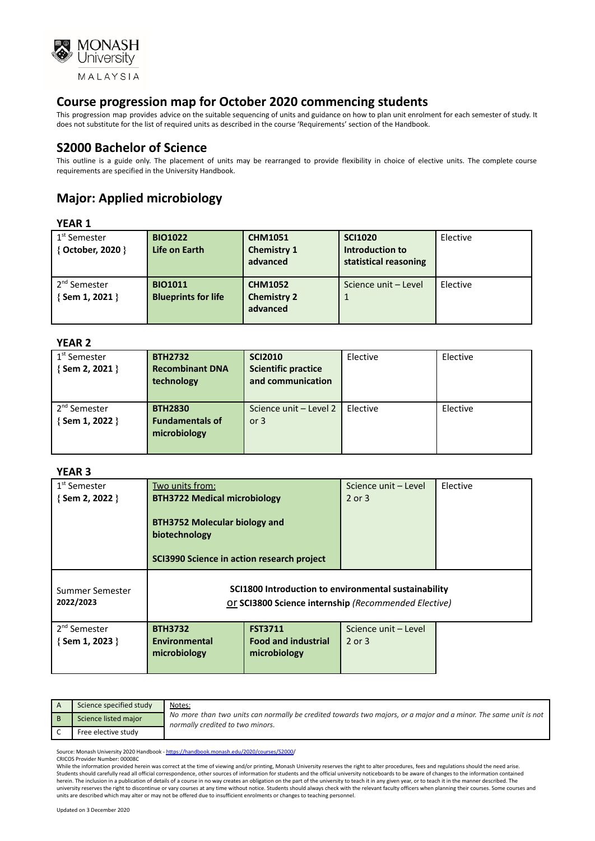

This progression map provides advice on the suitable sequencing of units and guidance on how to plan unit enrolment for each semester of study. It does not substitute for the list of required units as described in the course 'Requirements' section of the Handbook.

## **S2000 Bachelor of Science**

This outline is a guide only. The placement of units may be rearranged to provide flexibility in choice of elective units. The complete course requirements are specified in the University Handbook.

# **Major: Applied microbiology**

#### **YEAR 1**

| $1st$ Semester<br>{ October, 2020 }         | <b>BIO1022</b><br>Life on Earth              | <b>CHM1051</b><br><b>Chemistry 1</b><br>advanced | <b>SCI1020</b><br>Introduction to<br>statistical reasoning | Elective |
|---------------------------------------------|----------------------------------------------|--------------------------------------------------|------------------------------------------------------------|----------|
| 2 <sup>nd</sup> Semester<br>{ Sem 1, 2021 } | <b>BIO1011</b><br><b>Blueprints for life</b> | <b>CHM1052</b><br><b>Chemistry 2</b><br>advanced | Science unit - Level                                       | Elective |

#### **YEAR 2**

| 1 <sup>st</sup> Semester<br>$\{$ Sem 2, 2021 $\}$ | <b>BTH2732</b><br><b>Recombinant DNA</b><br>technology   | <b>SCI2010</b><br><b>Scientific practice</b><br>and communication | Elective | Elective |
|---------------------------------------------------|----------------------------------------------------------|-------------------------------------------------------------------|----------|----------|
| 2 <sup>nd</sup> Semester<br>{Sem 1, 2022 }        | <b>BTH2830</b><br><b>Fundamentals of</b><br>microbiology | Science unit - Level 2<br>or $3$                                  | Elective | Elective |

#### **YEAR 3**

| 1 <sup>st</sup> Semester<br>$\{$ Sem 2, 2022 $\}$ | Two units from:<br><b>BTH3722 Medical microbiology</b><br><b>BTH3752 Molecular biology and</b><br>biotechnology |                                                                                                              | Science unit - Level<br>2 or 3     | Elective |
|---------------------------------------------------|-----------------------------------------------------------------------------------------------------------------|--------------------------------------------------------------------------------------------------------------|------------------------------------|----------|
|                                                   | SCI3990 Science in action research project                                                                      |                                                                                                              |                                    |          |
| Summer Semester<br>2022/2023                      |                                                                                                                 | SCI1800 Introduction to environmental sustainability<br>Or SCI3800 Science internship (Recommended Elective) |                                    |          |
| 2 <sup>nd</sup> Semester<br>$\{$ Sem 1, 2023 $\}$ | <b>BTH3732</b><br>Environmental<br>microbiology                                                                 | <b>FST3711</b><br><b>Food and industrial</b><br>microbiology                                                 | Science unit - Level<br>$2$ or $3$ |          |

| Science specified study | Notes:                                                                                                                                               |
|-------------------------|------------------------------------------------------------------------------------------------------------------------------------------------------|
| Science listed major    | No more than two units can normally be credited towards two majors, or a major and a minor. The same unit is not<br>normally credited to two minors. |
| Free elective study     |                                                                                                                                                      |

Source: Monash University 2020 Handbook - [https://handbook.monash.edu/2020/courses/S2000/](https://handbook.monash.edu/2020/courses/S2000) CRICOS Provider Number: 00008C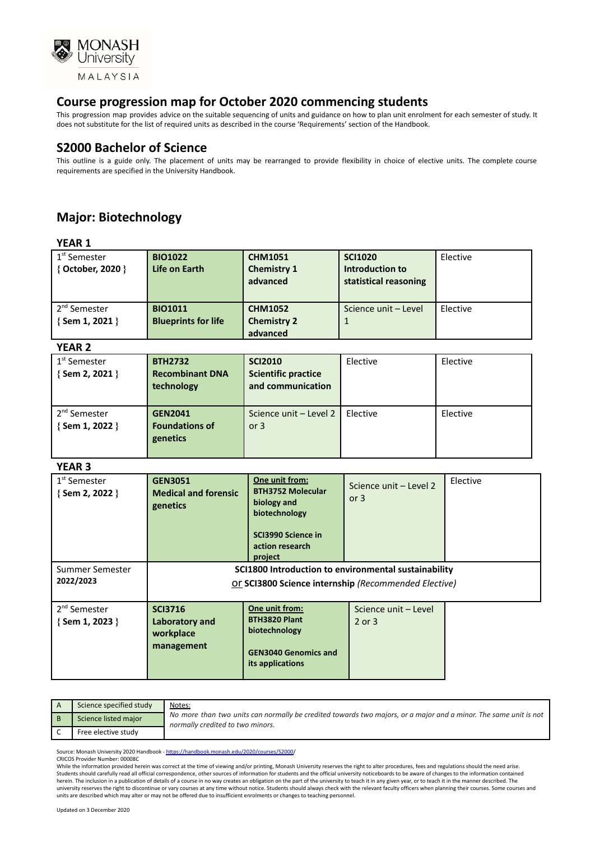

This progression map provides advice on the suitable sequencing of units and guidance on how to plan unit enrolment for each semester of study. It does not substitute for the list of required units as described in the course 'Requirements' section of the Handbook.

### **S2000 Bachelor of Science**

This outline is a guide only. The placement of units may be rearranged to provide flexibility in choice of elective units. The complete course requirements are specified in the University Handbook.

# **Major: Biotechnology**

|--|--|

| 1 <sup>st</sup> Semester<br>{ October, 2020 }     | <b>BIO1022</b><br>Life on Earth              | <b>CHM1051</b><br><b>Chemistry 1</b><br>advanced | <b>SCI1020</b><br>Introduction to<br>statistical reasoning | Elective |
|---------------------------------------------------|----------------------------------------------|--------------------------------------------------|------------------------------------------------------------|----------|
| 2 <sup>nd</sup> Semester<br>$\{$ Sem 1, 2021 $\}$ | <b>BIO1011</b><br><b>Blueprints for life</b> | <b>CHM1052</b><br><b>Chemistry 2</b><br>advanced | Science unit - Level                                       | Elective |

#### **YEAR 2**

| 1 <sup>st</sup> Semester<br>{Sem 2, 2021 } | <b>BTH2732</b><br><b>Recombinant DNA</b><br>technology | <b>SCI2010</b><br><b>Scientific practice</b><br>and communication | Elective | Elective |
|--------------------------------------------|--------------------------------------------------------|-------------------------------------------------------------------|----------|----------|
| 2 <sup>nd</sup> Semester<br>{Sem 1, 2022 } | <b>GEN2041</b><br><b>Foundations of</b><br>genetics    | Science unit - Level 2<br>or $3$                                  | Elective | Elective |

#### **YEAR 3**

| .                                                 |                                                                                                              |                                                                                                                                |                                    |          |
|---------------------------------------------------|--------------------------------------------------------------------------------------------------------------|--------------------------------------------------------------------------------------------------------------------------------|------------------------------------|----------|
| 1 <sup>st</sup> Semester<br>$\{$ Sem 2, 2022 $\}$ | <b>GEN3051</b><br><b>Medical and forensic</b><br>genetics                                                    | One unit from:<br><b>BTH3752 Molecular</b><br>biology and<br>biotechnology<br>SCI3990 Science in<br>action research<br>project | Science unit - Level 2<br>or $3$   | Elective |
| Summer Semester<br>2022/2023                      | SCI1800 Introduction to environmental sustainability<br>Or SCI3800 Science internship (Recommended Elective) |                                                                                                                                |                                    |          |
| 2 <sup>nd</sup> Semester<br>{Sem 1, 2023 }        | <b>SCI3716</b><br>Laboratory and<br>workplace<br>management                                                  | One unit from:<br>BTH3820 Plant<br>biotechnology<br><b>GEN3040 Genomics and</b><br>its applications                            | Science unit - Level<br>$2$ or $3$ |          |

| Science specified study | Notes:                                                                                                                                               |
|-------------------------|------------------------------------------------------------------------------------------------------------------------------------------------------|
| Science listed major    | No more than two units can normally be credited towards two majors, or a major and a minor. The same unit is not<br>normally credited to two minors. |
| Free elective study     |                                                                                                                                                      |

Source: Monash University 2020 Handbook - [https://handbook.monash.edu/2020/courses/S2000/](https://handbook.monash.edu/2020/courses/S2000) CRICOS Provider Number: 00008C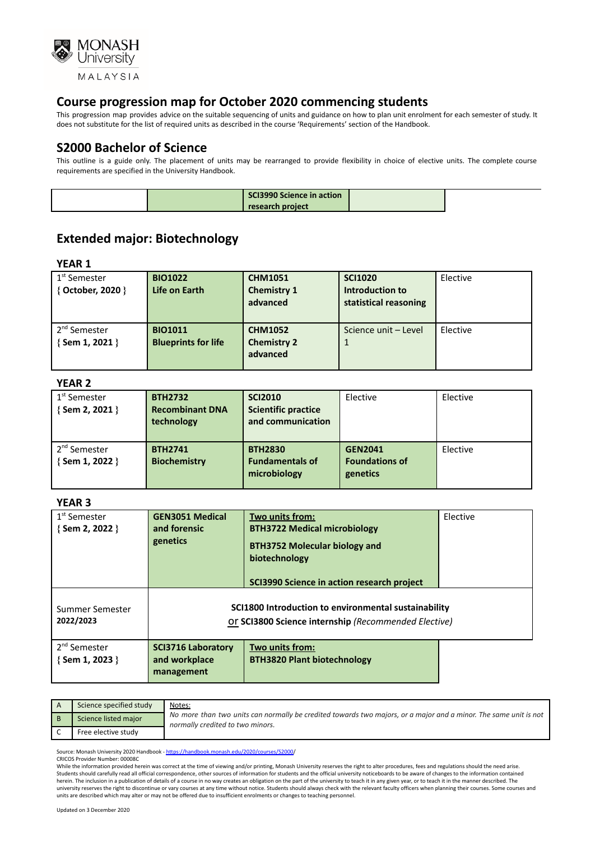

This progression map provides advice on the suitable sequencing of units and guidance on how to plan unit enrolment for each semester of study. It does not substitute for the list of required units as described in the course 'Requirements' section of the Handbook.

## **S2000 Bachelor of Science**

This outline is a guide only. The placement of units may be rearranged to provide flexibility in choice of elective units. The complete course requirements are specified in the University Handbook.

|  | <b>SCI3990 Science in action</b> |  |
|--|----------------------------------|--|
|  | research project                 |  |

# **Extended major: Biotechnology**

**YEAR 1**

| $1st$ Semester<br>{ October, 2020 }               | <b>BIO1022</b><br>Life on Earth              | <b>CHM1051</b><br><b>Chemistry 1</b><br>advanced | <b>SCI1020</b><br>Introduction to<br>statistical reasoning | Elective |
|---------------------------------------------------|----------------------------------------------|--------------------------------------------------|------------------------------------------------------------|----------|
| 2 <sup>nd</sup> Semester<br>$\{$ Sem 1, 2021 $\}$ | <b>BIO1011</b><br><b>Blueprints for life</b> | <b>CHM1052</b><br><b>Chemistry 2</b><br>advanced | Science unit - Level                                       | Elective |

#### **YEAR 2**

| 1 <sup>st</sup> Semester<br>{Sem 2, 2021 }        | <b>BTH2732</b><br><b>Recombinant DNA</b><br>technology | <b>SCI2010</b><br><b>Scientific practice</b><br>and communication | Elective                                            | Elective |
|---------------------------------------------------|--------------------------------------------------------|-------------------------------------------------------------------|-----------------------------------------------------|----------|
| 2 <sup>nd</sup> Semester<br>$\{$ Sem 1, 2022 $\}$ | <b>BTH2741</b><br><b>Biochemistry</b>                  | <b>BTH2830</b><br><b>Fundamentals of</b><br>microbiology          | <b>GEN2041</b><br><b>Foundations of</b><br>genetics | Elective |

#### **YEAR 3**

| 1 <sup>st</sup> Semester<br>{Sem 2, 2022 } | <b>GEN3051 Medical</b><br>Two units from:<br>and forensic<br><b>BTH3722 Medical microbiology</b><br>genetics<br><b>BTH3752 Molecular biology and</b><br>biotechnology<br>SCI3990 Science in action research project |                                                                                                              | Elective |
|--------------------------------------------|---------------------------------------------------------------------------------------------------------------------------------------------------------------------------------------------------------------------|--------------------------------------------------------------------------------------------------------------|----------|
| Summer Semester<br>2022/2023               |                                                                                                                                                                                                                     | SCI1800 Introduction to environmental sustainability<br>Or SCI3800 Science internship (Recommended Elective) |          |
| 2 <sup>nd</sup> Semester<br>{Sem 1, 2023 } | <b>SCI3716 Laboratory</b><br>and workplace<br>management                                                                                                                                                            | Two units from:<br><b>BTH3820 Plant biotechnology</b>                                                        |          |

| Science specified study | Notes:                                                                                                                                               |
|-------------------------|------------------------------------------------------------------------------------------------------------------------------------------------------|
| Science listed major    | No more than two units can normally be credited towards two majors, or a major and a minor. The same unit is not<br>normally credited to two minors. |
| Free elective study     |                                                                                                                                                      |

Source: Monash University 2020 Handbook - https://handbook.monash.edu/2020/courses/S2000 CRICOS Provider Number: 00008C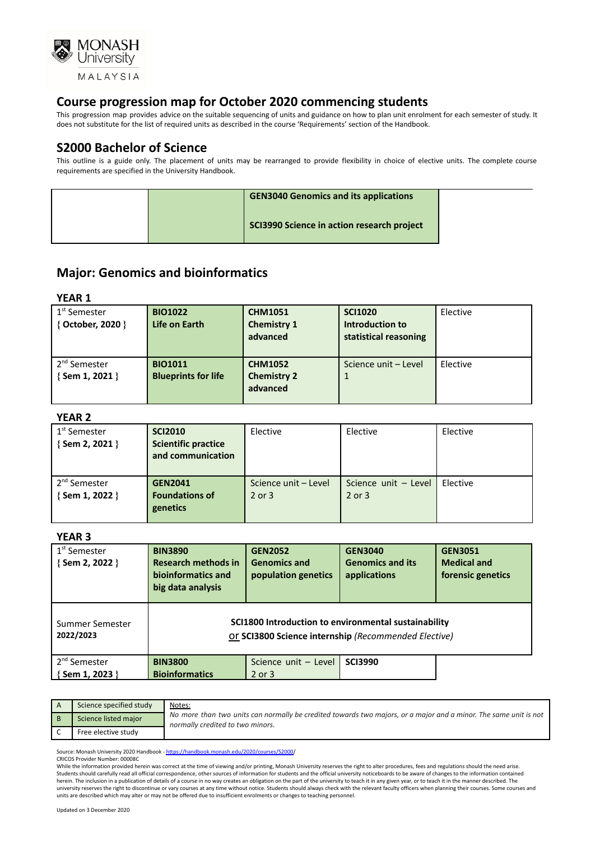

This progression map provides advice on the suitable sequencing of units and guidance on how to plan unit enrolment for each semester of study. It does not substitute for the list of required units as described in the course 'Requirements' section of the Handbook.

### **S2000 Bachelor of Science**

This outline is a guide only. The placement of units may be rearranged to provide flexibility in choice of elective units. The complete course requirements are specified in the University Handbook.

|  | <b>GEN3040 Genomics and its applications</b> |  |
|--|----------------------------------------------|--|
|  | SCI3990 Science in action research project   |  |

## **Major: Genomics and bioinformatics**

#### **YEAR 1**

| 1 <sup>st</sup> Semester                    | <b>BIO1022</b>                               | <b>CHM1051</b>                                   | <b>SCI1020</b>                           | Elective |
|---------------------------------------------|----------------------------------------------|--------------------------------------------------|------------------------------------------|----------|
| { October, 2020 }                           | Life on Earth                                | <b>Chemistry 1</b><br>advanced                   | Introduction to<br>statistical reasoning |          |
| 2 <sup>nd</sup> Semester<br>{ Sem 1, 2021 } | <b>BIO1011</b><br><b>Blueprints for life</b> | <b>CHM1052</b><br><b>Chemistry 2</b><br>advanced | Science unit - Level                     | Elective |

#### **YEAR 2**

| 1 <sup>st</sup> Semester<br>{Sem 2, 2021 }    | <b>SCI2010</b><br><b>Scientific practice</b><br>and communication | Elective                       | Elective                       | Elective |
|-----------------------------------------------|-------------------------------------------------------------------|--------------------------------|--------------------------------|----------|
| . 2 <sup>nd</sup> Semester<br>{ Sem 1, 2022 } | <b>GEN2041</b><br><b>Foundations of</b><br>genetics               | Science unit - Level<br>2 or 3 | Science unit - Level<br>2 or 3 | Elective |

#### **YEAR 3**

| 1 <sup>st</sup> Semester<br>{Sem 2, 2022 } | <b>BIN3890</b><br><b>Research methods in</b><br>bioinformatics and<br>big data analysis                      | <b>GEN2052</b><br><b>Genomics and</b><br>population genetics | <b>GEN3040</b><br><b>Genomics and its</b><br>applications | <b>GEN3051</b><br><b>Medical and</b><br>forensic genetics |
|--------------------------------------------|--------------------------------------------------------------------------------------------------------------|--------------------------------------------------------------|-----------------------------------------------------------|-----------------------------------------------------------|
| Summer Semester<br>2022/2023               | SCI1800 Introduction to environmental sustainability<br>Or SCI3800 Science internship (Recommended Elective) |                                                              |                                                           |                                                           |
| 2 <sup>nd</sup> Semester<br>{Sem 1, 2023 } | <b>BIN3800</b><br><b>Bioinformatics</b>                                                                      | Science unit - Level<br>$2$ or $3$                           | <b>SCI3990</b>                                            |                                                           |

| Science specified study | Notes:                                                                                                                                               |
|-------------------------|------------------------------------------------------------------------------------------------------------------------------------------------------|
| Science listed major    | No more than two units can normally be credited towards two majors, or a major and a minor. The same unit is not<br>normally credited to two minors. |
| Free elective study     |                                                                                                                                                      |

Source: Monash University 2020 Handbook - [https://handbook.monash.edu/2020/courses/S2000/](https://handbook.monash.edu/2020/courses/S2000) CRICOS Provider Number: 00008C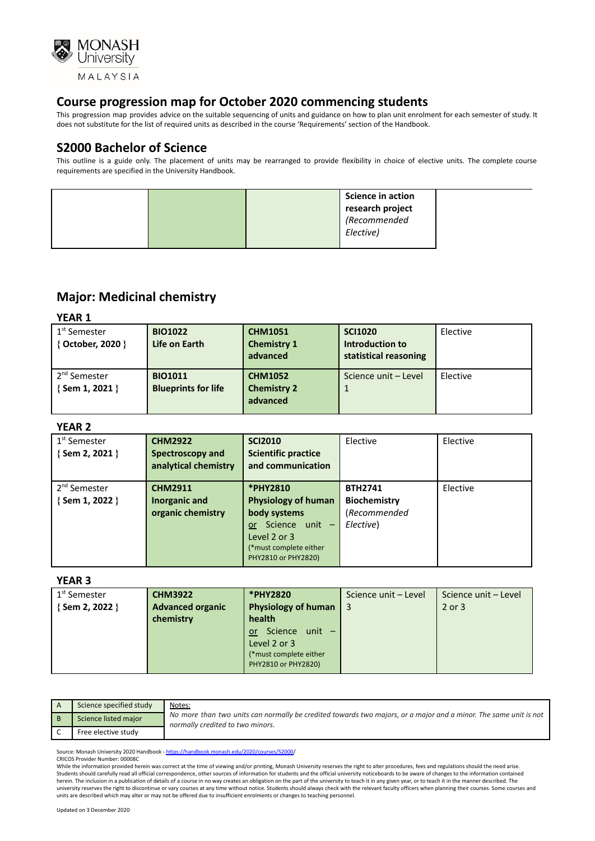

This progression map provides advice on the suitable sequencing of units and guidance on how to plan unit enrolment for each semester of study. It does not substitute for the list of required units as described in the course 'Requirements' section of the Handbook.

## **S2000 Bachelor of Science**

This outline is a guide only. The placement of units may be rearranged to provide flexibility in choice of elective units. The complete course requirements are specified in the University Handbook.

|  |  | <b>Science in action</b><br>research project<br>(Recommended |  |
|--|--|--------------------------------------------------------------|--|
|  |  | Elective)                                                    |  |

# **Major: Medicinal chemistry**

**YEAR 1**

| 1 <sup>st</sup> Semester<br>{ October, 2020 } | <b>BIO1022</b><br>Life on Earth              | <b>CHM1051</b><br><b>Chemistry 1</b><br>advanced | <b>SCI1020</b><br>Introduction to<br>statistical reasoning | Elective |
|-----------------------------------------------|----------------------------------------------|--------------------------------------------------|------------------------------------------------------------|----------|
| 2 <sup>nd</sup> Semester<br>{ Sem 1, 2021 }   | <b>BIO1011</b><br><b>Blueprints for life</b> | <b>CHM1052</b><br><b>Chemistry 2</b><br>advanced | Science unit - Level                                       | Elective |

#### **YEAR 2**

| 1 <sup>st</sup> Semester<br>{Sem 2, 2021 } | <b>CHM2922</b><br>Spectroscopy and<br>analytical chemistry | <b>SCI2010</b><br><b>Scientific practice</b><br>and communication                                                                                      | Elective                                                           | Elective |
|--------------------------------------------|------------------------------------------------------------|--------------------------------------------------------------------------------------------------------------------------------------------------------|--------------------------------------------------------------------|----------|
| 2 <sup>nd</sup> Semester<br>{Sem 1, 2022 } | <b>CHM2911</b><br>Inorganic and<br>organic chemistry       | *PHY2810<br><b>Physiology of human</b><br>body systems<br>Science unit -<br><b>or</b><br>Level 2 or 3<br>(*must complete either<br>PHY2810 or PHY2820) | <b>BTH2741</b><br><b>Biochemistry</b><br>(Recommended<br>Elective) | Elective |

#### **YEAR 3**

| 1 <sup>st</sup> Semester | <b>CHM3922</b>          | *PHY2820                    | Science unit - Level | Science unit - Level |
|--------------------------|-------------------------|-----------------------------|----------------------|----------------------|
| {Sem 2, 2022 }           | <b>Advanced organic</b> | Physiology of human         |                      | 2 or 3               |
|                          | chemistry               | health                      |                      |                      |
|                          |                         | Science unit -<br><b>or</b> |                      |                      |
|                          |                         | Level 2 or 3                |                      |                      |
|                          |                         | (*must complete either      |                      |                      |
|                          |                         | PHY2810 or PHY2820)         |                      |                      |

| Science specified study | Notes:                                                                                                                                               |
|-------------------------|------------------------------------------------------------------------------------------------------------------------------------------------------|
| Science listed major    | No more than two units can normally be credited towards two majors, or a major and a minor. The same unit is not<br>normally credited to two minors. |
| Free elective study     |                                                                                                                                                      |

Source: Monash University 2020 Handbook - [https://handbook.monash.edu/2020/courses/S2000/](https://handbook.monash.edu/2020/courses/S2000) CRICOS Provider Number: 00008C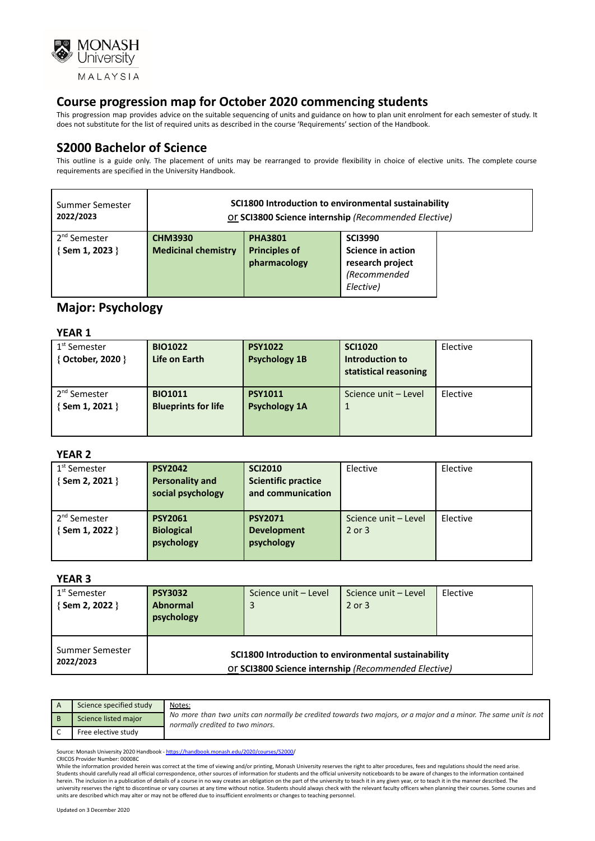

This progression map provides advice on the suitable sequencing of units and guidance on how to plan unit enrolment for each semester of study. It does not substitute for the list of required units as described in the course 'Requirements' section of the Handbook.

## **S2000 Bachelor of Science**

This outline is a guide only. The placement of units may be rearranged to provide flexibility in choice of elective units. The complete course requirements are specified in the University Handbook.

| Summer Semester                                   | SCI1800 Introduction to environmental sustainability |                                                        |                                                                                      |  |  |
|---------------------------------------------------|------------------------------------------------------|--------------------------------------------------------|--------------------------------------------------------------------------------------|--|--|
| 2022/2023                                         | Or SCI3800 Science internship (Recommended Elective) |                                                        |                                                                                      |  |  |
| 2 <sup>nd</sup> Semester<br>$\{$ Sem 1, 2023 $\}$ | <b>CHM3930</b><br><b>Medicinal chemistry</b>         | <b>PHA3801</b><br><b>Principles of</b><br>pharmacology | <b>SCI3990</b><br>Science in action<br>research project<br>(Recommended<br>Elective) |  |  |

## **Major: Psychology**

#### **YEAR 1**

| $1st$ Semester<br>{ October, 2020 }         | <b>BIO1022</b><br>Life on Earth              | <b>PSY1022</b><br><b>Psychology 1B</b> | <b>SCI1020</b><br>Introduction to<br>statistical reasoning | Elective |
|---------------------------------------------|----------------------------------------------|----------------------------------------|------------------------------------------------------------|----------|
| 2 <sup>nd</sup> Semester<br>{ Sem 1, 2021 } | <b>BIO1011</b><br><b>Blueprints for life</b> | <b>PSY1011</b><br><b>Psychology 1A</b> | Science unit - Level                                       | Elective |

#### **YEAR 2**

| 1 <sup>st</sup> Semester<br>{Sem 2, 2021 }  | <b>PSY2042</b><br><b>Personality and</b><br>social psychology | <b>SCI2010</b><br><b>Scientific practice</b><br>and communication | Elective                           | Elective |
|---------------------------------------------|---------------------------------------------------------------|-------------------------------------------------------------------|------------------------------------|----------|
| 2 <sup>nd</sup> Semester<br>{ Sem 1, 2022 } | <b>PSY2061</b><br><b>Biological</b><br>psychology             | <b>PSY2071</b><br><b>Development</b><br>psychology                | Science unit - Level<br>$2$ or $3$ | Elective |

#### **YEAR 3**

| 1 <sup>st</sup> Semester<br>$\{$ Sem 2, 2022 $\}$ | <b>PSY3032</b><br><b>Abnormal</b><br>psychology | Science unit - Level                                                                                         | Science unit - Level<br>2 or 3 | Elective |  |
|---------------------------------------------------|-------------------------------------------------|--------------------------------------------------------------------------------------------------------------|--------------------------------|----------|--|
| Summer Semester<br>2022/2023                      |                                                 | SCI1800 Introduction to environmental sustainability<br>Or SCI3800 Science internship (Recommended Elective) |                                |          |  |

| Science specified study | Notes:                                                                                                                                               |
|-------------------------|------------------------------------------------------------------------------------------------------------------------------------------------------|
| Science listed major    | No more than two units can normally be credited towards two majors, or a major and a minor. The same unit is not<br>normally credited to two minors. |
| Free elective study     |                                                                                                                                                      |

Source: Monash University 2020 Handbook - [https://handbook.monash.edu/2020/courses/S2000/](https://handbook.monash.edu/2020/courses/S2000) CRICOS Provider Number: 00008C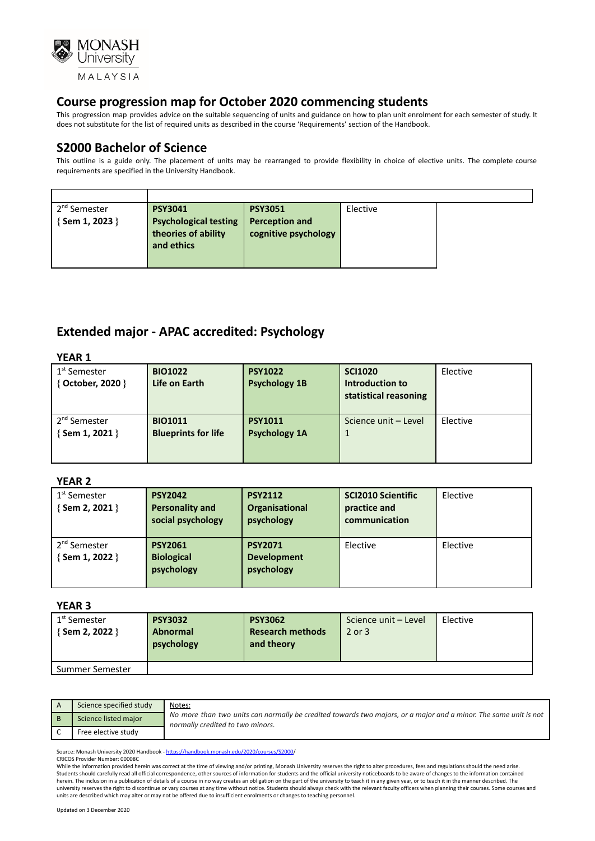

This progression map provides advice on the suitable sequencing of units and guidance on how to plan unit enrolment for each semester of study. It does not substitute for the list of required units as described in the course 'Requirements' section of the Handbook.

## **S2000 Bachelor of Science**

This outline is a guide only. The placement of units may be rearranged to provide flexibility in choice of elective units. The complete course requirements are specified in the University Handbook.

## **Extended major - APAC accredited: Psychology**

| <b>YEAR 1</b>            |                            |                      |                       |          |  |
|--------------------------|----------------------------|----------------------|-----------------------|----------|--|
| 1 <sup>st</sup> Semester | <b>BIO1022</b>             | <b>PSY1022</b>       | <b>SCI1020</b>        | Elective |  |
| { October, 2020 }        | Life on Earth              | <b>Psychology 1B</b> | Introduction to       |          |  |
|                          |                            |                      | statistical reasoning |          |  |
| 2 <sup>nd</sup> Semester | <b>BIO1011</b>             | <b>PSY1011</b>       | Science unit - Level  | Elective |  |
|                          |                            |                      |                       |          |  |
| { Sem 1, 2021 }          | <b>Blueprints for life</b> | <b>Psychology 1A</b> | 1                     |          |  |
|                          |                            |                      |                       |          |  |
|                          |                            |                      |                       |          |  |

#### **YEAR 2**

| 1 <sup>st</sup> Semester<br>{ Sem 2, 2021 } | <b>PSY2042</b><br><b>Personality and</b><br>social psychology | <b>PSY2112</b><br>Organisational<br>psychology     | <b>SCI2010 Scientific</b><br>practice and<br>communication | Elective |
|---------------------------------------------|---------------------------------------------------------------|----------------------------------------------------|------------------------------------------------------------|----------|
| 2 <sup>nd</sup> Semester<br>{Sem 1, 2022 }  | <b>PSY2061</b><br><b>Biological</b><br>psychology             | <b>PSY2071</b><br><b>Development</b><br>psychology | Elective                                                   | Elective |

#### **YEAR 3**

| 1 <sup>st</sup> Semester | <b>PSY3032</b>  | <b>PSY3062</b>          | Science unit - Level | Elective |
|--------------------------|-----------------|-------------------------|----------------------|----------|
| $\{$ Sem 2, 2022 $\}$    | <b>Abnormal</b> | <b>Research methods</b> | 2 or 3               |          |
|                          | psychology      | and theory              |                      |          |
|                          |                 |                         |                      |          |
| Summer Semester          |                 |                         |                      |          |

| Science specified study | Notes:                                                                                                                                               |
|-------------------------|------------------------------------------------------------------------------------------------------------------------------------------------------|
| Science listed major    | No more than two units can normally be credited towards two majors, or a major and a minor. The same unit is not<br>normally credited to two minors. |
| Free elective study     |                                                                                                                                                      |

Source: Monash University 2020 Handbook - [https://handbook.monash.edu/2020/courses/S2000/](https://handbook.monash.edu/2020/courses/S2000) CRICOS Provider Number: 00008C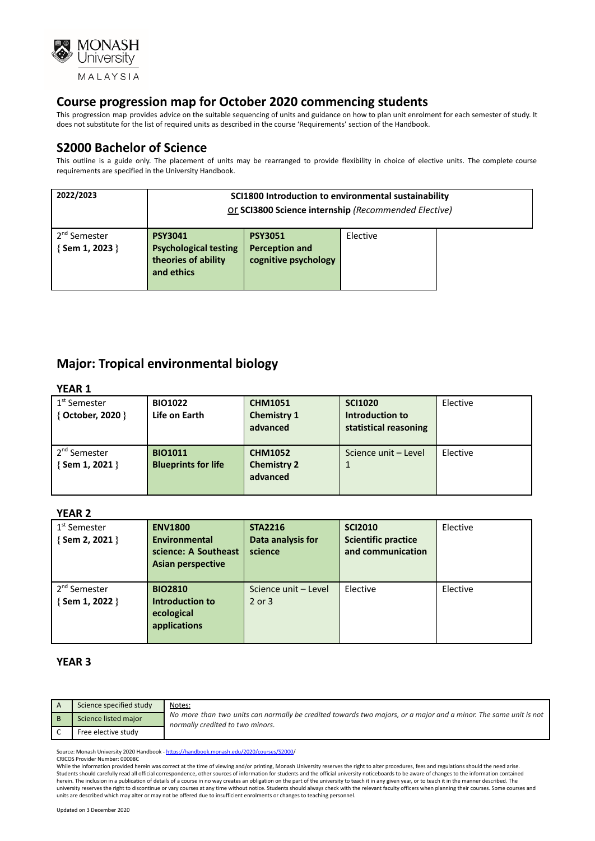

This progression map provides advice on the suitable sequencing of units and guidance on how to plan unit enrolment for each semester of study. It does not substitute for the list of required units as described in the course 'Requirements' section of the Handbook.

## **S2000 Bachelor of Science**

This outline is a guide only. The placement of units may be rearranged to provide flexibility in choice of elective units. The complete course requirements are specified in the University Handbook.

| 2022/2023                                   | SCI1800 Introduction to environmental sustainability<br>Or SCI3800 Science internship (Recommended Elective) |                                                                 |          |  |  |
|---------------------------------------------|--------------------------------------------------------------------------------------------------------------|-----------------------------------------------------------------|----------|--|--|
| 2 <sup>nd</sup> Semester<br>{ Sem 1, 2023 } | <b>PSY3041</b><br><b>Psychological testing</b><br>theories of ability<br>and ethics                          | <b>PSY3051</b><br><b>Perception and</b><br>cognitive psychology | Elective |  |  |

# **Major: Tropical environmental biology**

#### **YEAR 1**

| 1 <sup>st</sup> Semester<br>{ October, 2020 } | <b>BIO1022</b><br>Life on Earth              | <b>CHM1051</b><br><b>Chemistry 1</b><br>advanced | <b>SCI1020</b><br>Introduction to<br>statistical reasoning | Elective |
|-----------------------------------------------|----------------------------------------------|--------------------------------------------------|------------------------------------------------------------|----------|
| 2 <sup>nd</sup> Semester<br>{ Sem 1, 2021 }   | <b>BIO1011</b><br><b>Blueprints for life</b> | <b>CHM1052</b><br><b>Chemistry 2</b><br>advanced | Science unit - Level                                       | Elective |

#### **YEAR 2**

| 1 <sup>st</sup> Semester<br>$\{$ Sem 2, 2021 $\}$ | <b>ENV1800</b><br><b>Environmental</b><br>science: A Southeast<br><b>Asian perspective</b> | <b>STA2216</b><br>Data analysis for<br>science | <b>SCI2010</b><br><b>Scientific practice</b><br>and communication | Elective |
|---------------------------------------------------|--------------------------------------------------------------------------------------------|------------------------------------------------|-------------------------------------------------------------------|----------|
| 2 <sup>nd</sup> Semester<br>{Sem 1, 2022 }        | <b>BIO2810</b><br><b>Introduction to</b><br>ecological<br>applications                     | Science unit - Level<br>$2$ or $3$             | Elective                                                          | Elective |

#### **YEAR 3**

| Science specified study | Notes:<br>No more than two units can normally be credited towards two majors, or a major and a minor. The same unit is not<br>normally credited to two minors. |
|-------------------------|----------------------------------------------------------------------------------------------------------------------------------------------------------------|
| Science listed major    |                                                                                                                                                                |
| Free elective study     |                                                                                                                                                                |

Source: Monash University 2020 Handbook - https://handbook.monash.edu/2020/courses/S2000 CRICOS Provider Number: 00008C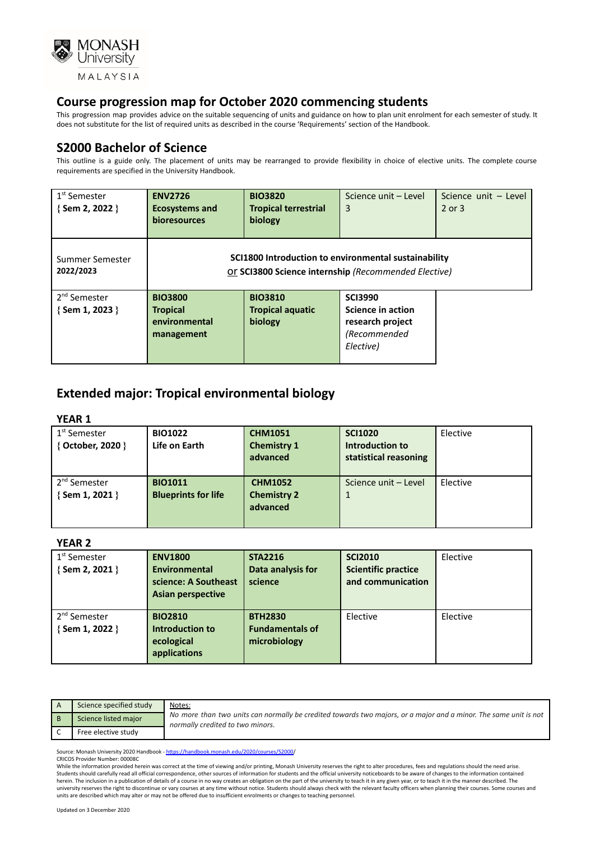

This progression map provides advice on the suitable sequencing of units and guidance on how to plan unit enrolment for each semester of study. It does not substitute for the list of required units as described in the course 'Requirements' section of the Handbook.

## **S2000 Bachelor of Science**

This outline is a guide only. The placement of units may be rearranged to provide flexibility in choice of elective units. The complete course requirements are specified in the University Handbook.

| $1st$ Semester<br>$\{$ Sem 2, 2022 $\}$           | <b>ENV2726</b><br><b>Ecosystems and</b><br><b>bioresources</b>   | <b>BIO3820</b><br><b>Tropical terrestrial</b><br>biology                                                     | Science unit - Level<br>3                                                                   | Science unit - Level<br>$2$ or $3$ |
|---------------------------------------------------|------------------------------------------------------------------|--------------------------------------------------------------------------------------------------------------|---------------------------------------------------------------------------------------------|------------------------------------|
| Summer Semester<br>2022/2023                      |                                                                  | SCI1800 Introduction to environmental sustainability<br>Or SCI3800 Science internship (Recommended Elective) |                                                                                             |                                    |
| 2 <sup>nd</sup> Semester<br>$\{$ Sem 1, 2023 $\}$ | <b>BIO3800</b><br><b>Tropical</b><br>environmental<br>management | <b>BIO3810</b><br><b>Tropical aquatic</b><br>biology                                                         | <b>SCI3990</b><br><b>Science in action</b><br>research project<br>(Recommended<br>Elective) |                                    |

# **Extended major: Tropical environmental biology**

#### **YEAR 1**

| 1 <sup>st</sup> Semester<br>{ October, 2020 }     | <b>BIO1022</b><br>Life on Earth              | <b>CHM1051</b><br><b>Chemistry 1</b><br>advanced | <b>SCI1020</b><br>Introduction to<br>statistical reasoning | Elective |
|---------------------------------------------------|----------------------------------------------|--------------------------------------------------|------------------------------------------------------------|----------|
| 2 <sup>nd</sup> Semester<br>$\{$ Sem 1, 2021 $\}$ | <b>BIO1011</b><br><b>Blueprints for life</b> | <b>CHM1052</b><br><b>Chemistry 2</b><br>advanced | Science unit - Level<br>1                                  | Elective |

#### **YEAR 2**

| 1 <sup>st</sup> Semester | <b>ENV1800</b>           | <b>STA2216</b>         | <b>SCI2010</b>             | Elective |
|--------------------------|--------------------------|------------------------|----------------------------|----------|
| {Sem 2, 2021 }           | <b>Environmental</b>     | Data analysis for      | <b>Scientific practice</b> |          |
|                          | science: A Southeast     | science                | and communication          |          |
|                          | <b>Asian perspective</b> |                        |                            |          |
|                          |                          |                        |                            |          |
| 2 <sup>nd</sup> Semester | <b>BIO2810</b>           | <b>BTH2830</b>         | Elective                   | Elective |
| {Sem 1, 2022 }           | Introduction to          | <b>Fundamentals of</b> |                            |          |
|                          | ecological               | microbiology           |                            |          |
|                          | applications             |                        |                            |          |
|                          |                          |                        |                            |          |

| Science specified study | Notes:<br>No more than two units can normally be credited towards two majors, or a major and a minor. The same unit is not<br>normally credited to two minors. |
|-------------------------|----------------------------------------------------------------------------------------------------------------------------------------------------------------|
| Science listed major    |                                                                                                                                                                |
| Free elective study     |                                                                                                                                                                |

Source: Monash University 2020 Handbook - [https://handbook.monash.edu/2020/courses/S2000/](https://handbook.monash.edu/2020/courses/S2000) CRICOS Provider Number: 00008C